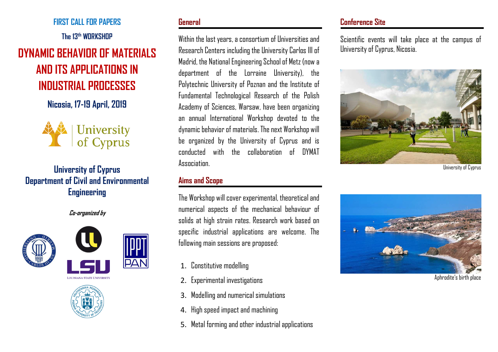**FIRST CALL FOR PAPERS** 

**The 13th WORKSHOP** 

# **DYNAMIC BEHAVIOR OF MATERIALS AND ITS APPLICATIONS IN INDUSTRIAL PROCESSES**

**Nicosia, 17-19 April, 2019** 



## **University of Cyprus Department of Civil and Environmental Engineering**

**Co-organized by** 







#### **General**

Within the last years, a consortium of Universities and Research Centers including the University Carlos III of Madrid, the National Engineering School of Metz (now a department of the Lorraine University), the Polytechnic University of Poznan and the Institute of Fundamental Technological Research of the Polish Academy of Sciences, Warsaw, have been organizing an annual International Workshop devoted to the dynamic behavior of materials. The next Workshop will be organized by the University of Cyprus and is conducted with the collaboration of DYMAT **Association** 

#### **Aims and Scope**

The Workshop will cover experimental, theoretical and numerical aspects of the mechanical behaviour of solids at high strain rates. Research work based on specific industrial applications are welcome. The following main sessions are proposed:

- 1. Constitutive modelling
- 2. Experimental investigations
- 3. Modelling and numerical simulations
- 4. High speed impact and machining
- 5. Metal forming and other industrial applications

## **Conference Site**

Scientific events will take place at the campus of University of Cyprus, Nicosia.



University of Cyprus



Aphrodite's birth place